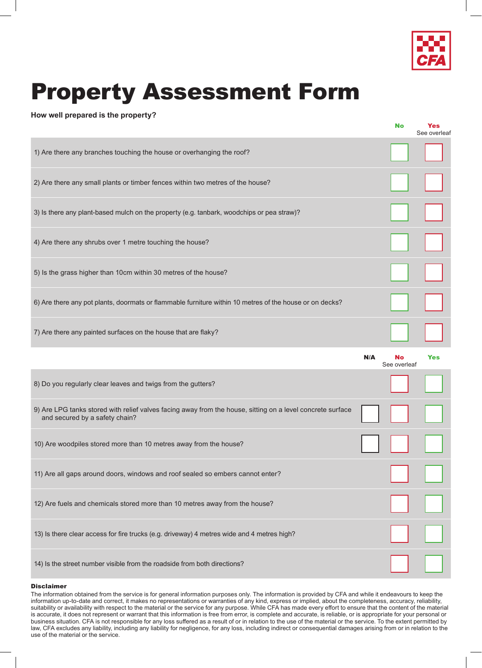

## Property Assessment Form

## **How well prepared is the property?**

|                                                                                                                                              |     | <b>No</b>                 | Yes<br>See overleat |
|----------------------------------------------------------------------------------------------------------------------------------------------|-----|---------------------------|---------------------|
| 1) Are there any branches touching the house or overhanging the roof?                                                                        |     |                           |                     |
| 2) Are there any small plants or timber fences within two metres of the house?                                                               |     |                           |                     |
| 3) Is there any plant-based mulch on the property (e.g. tanbark, woodchips or pea straw)?                                                    |     |                           |                     |
| 4) Are there any shrubs over 1 metre touching the house?                                                                                     |     |                           |                     |
| 5) Is the grass higher than 10cm within 30 metres of the house?                                                                              |     |                           |                     |
| 6) Are there any pot plants, doormats or flammable furniture within 10 metres of the house or on decks?                                      |     |                           |                     |
| 7) Are there any painted surfaces on the house that are flaky?                                                                               |     |                           |                     |
|                                                                                                                                              |     |                           |                     |
|                                                                                                                                              | N/A | <b>No</b><br>See overleaf | Yes                 |
| 8) Do you regularly clear leaves and twigs from the gutters?                                                                                 |     |                           |                     |
| 9) Are LPG tanks stored with relief valves facing away from the house, sitting on a level concrete surface<br>and secured by a safety chain? |     |                           |                     |
| 10) Are woodpiles stored more than 10 metres away from the house?                                                                            |     |                           |                     |
| 11) Are all gaps around doors, windows and roof sealed so embers cannot enter?                                                               |     |                           |                     |
| 12) Are fuels and chemicals stored more than 10 metres away from the house?                                                                  |     |                           |                     |
| 13) Is there clear access for fire trucks (e.g. driveway) 4 metres wide and 4 metres high?                                                   |     |                           |                     |

## **Disclaimer**

The information obtained from the service is for general information purposes only. The information is provided by CFA and while it endeavours to keep the information up-to-date and correct, it makes no representations or warranties of any kind, express or implied, about the completeness, accuracy, reliability, suitability or availability with respect to the material or the service for any purpose. While CFA has made every effort to ensure that the content of the material is accurate, it does not represent or warrant that this information is free from error, is complete and accurate, is reliable, or is appropriate for your personal or business situation. CFA is not responsible for any loss suffered as a result of or in relation to the use of the material or the service. To the extent permitted by law, CFA excludes any liability, including any liability for negligence, for any loss, including indirect or consequential damages arising from or in relation to the use of the material or the service.